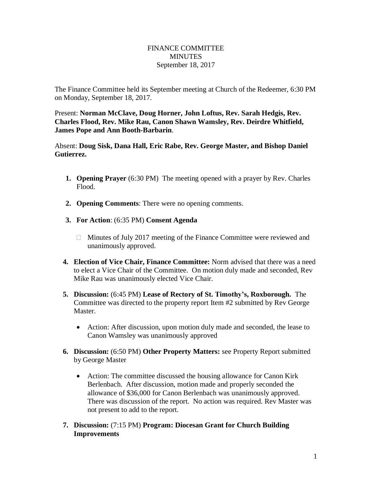## FINANCE COMMITTEE **MINUTES** September 18, 2017

The Finance Committee held its September meeting at Church of the Redeemer, 6:30 PM on Monday, September 18, 2017.

Present: **Norman McClave, Doug Horner, John Loftus, Rev. Sarah Hedgis, Rev. Charles Flood, Rev. Mike Rau, Canon Shawn Wamsley, Rev. Deirdre Whitfield, James Pope and Ann Booth-Barbarin**.

Absent: **Doug Sisk, Dana Hall, Eric Rabe, Rev. George Master, and Bishop Daniel Gutierrez.**

- **1. Opening Prayer** (6:30 PM) The meeting opened with a prayer by Rev. Charles Flood.
- **2. Opening Comments**: There were no opening comments.
- **3. For Action**: (6:35 PM) **Consent Agenda**
	- $\Box$  Minutes of July 2017 meeting of the Finance Committee were reviewed and unanimously approved.
- **4. Election of Vice Chair, Finance Committee:** Norm advised that there was a need to elect a Vice Chair of the Committee. On motion duly made and seconded, Rev Mike Rau was unanimously elected Vice Chair.
- **5. Discussion:** (6:45 PM) **Lease of Rectory of St. Timothy's, Roxborough.** The Committee was directed to the property report Item #2 submitted by Rev George Master.
	- Action: After discussion, upon motion duly made and seconded, the lease to Canon Wamsley was unanimously approved
- **6. Discussion:** (6:50 PM) **Other Property Matters:** see Property Report submitted by George Master
	- Action: The committee discussed the housing allowance for Canon Kirk Berlenbach. After discussion, motion made and properly seconded the allowance of \$36,000 for Canon Berlenbach was unanimously approved. There was discussion of the report. No action was required. Rev Master was not present to add to the report.
- **7. Discussion:** (7:15 PM) **Program: Diocesan Grant for Church Building Improvements**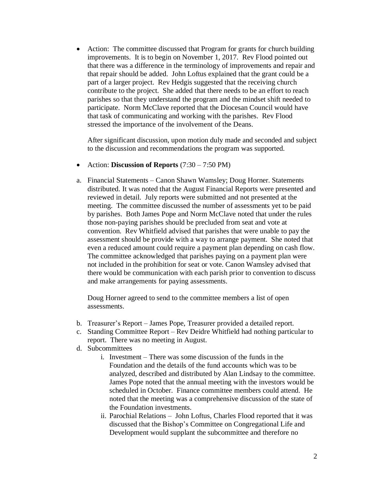• Action: The committee discussed that Program for grants for church building improvements. It is to begin on November 1, 2017. Rev Flood pointed out that there was a difference in the terminology of improvements and repair and that repair should be added. John Loftus explained that the grant could be a part of a larger project. Rev Hedgis suggested that the receiving church contribute to the project. She added that there needs to be an effort to reach parishes so that they understand the program and the mindset shift needed to participate. Norm McClave reported that the Diocesan Council would have that task of communicating and working with the parishes. Rev Flood stressed the importance of the involvement of the Deans.

After significant discussion, upon motion duly made and seconded and subject to the discussion and recommendations the program was supported.

- Action: **Discussion of Reports** (7:30 7:50 PM)
- a. Financial Statements Canon Shawn Wamsley; Doug Horner. Statements distributed. It was noted that the August Financial Reports were presented and reviewed in detail. July reports were submitted and not presented at the meeting. The committee discussed the number of assessments yet to be paid by parishes. Both James Pope and Norm McClave noted that under the rules those non-paying parishes should be precluded from seat and vote at convention. Rev Whitfield advised that parishes that were unable to pay the assessment should be provide with a way to arrange payment. She noted that even a reduced amount could require a payment plan depending on cash flow. The committee acknowledged that parishes paying on a payment plan were not included in the prohibition for seat or vote. Canon Wamsley advised that there would be communication with each parish prior to convention to discuss and make arrangements for paying assessments.

Doug Horner agreed to send to the committee members a list of open assessments.

- b. Treasurer's Report James Pope, Treasurer provided a detailed report.
- c. Standing Committee Report Rev Deidre Whitfield had nothing particular to report. There was no meeting in August.
- d. Subcommittees
	- i. Investment There was some discussion of the funds in the Foundation and the details of the fund accounts which was to be analyzed, described and distributed by Alan Lindsay to the committee. James Pope noted that the annual meeting with the investors would be scheduled in October. Finance committee members could attend. He noted that the meeting was a comprehensive discussion of the state of the Foundation investments.
	- ii. Parochial Relations John Loftus, Charles Flood reported that it was discussed that the Bishop's Committee on Congregational Life and Development would supplant the subcommittee and therefore no